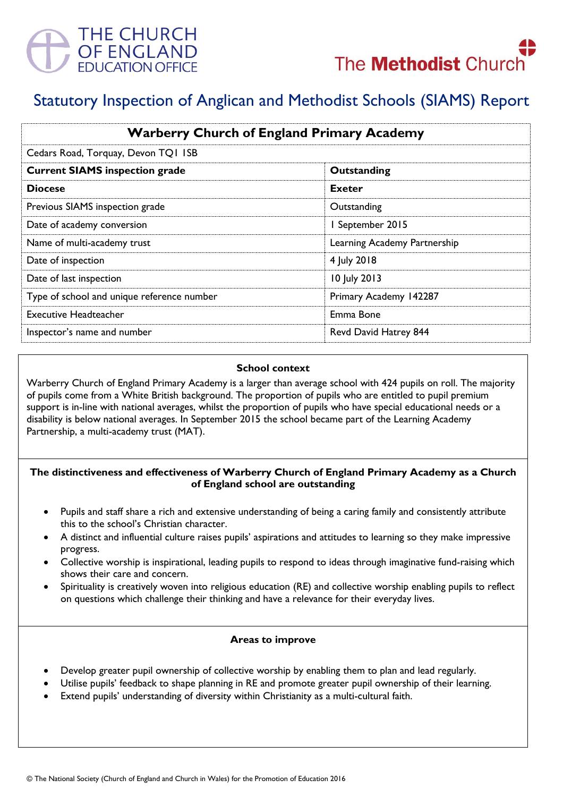



# Statutory Inspection of Anglican and Methodist Schools (SIAMS) Report

| <b>Warberry Church of England Primary Academy</b><br>Cedars Road, Torquay, Devon TQI ISB |                              |
|------------------------------------------------------------------------------------------|------------------------------|
|                                                                                          |                              |
| <b>Diocese</b>                                                                           | Exeter                       |
| Previous SIAMS inspection grade                                                          | Outstanding                  |
| Date of academy conversion                                                               | I September 2015             |
| Name of multi-academy trust                                                              | Learning Academy Partnership |
| Date of inspection                                                                       | 4 July 2018                  |
| Date of last inspection                                                                  | 10 July 2013                 |
| Type of school and unique reference number                                               | Primary Academy 142287       |
| <b>Executive Headteacher</b>                                                             | Emma Bone                    |
| Inspector's name and number                                                              | Revd David Hatrey 844        |

#### **School context**

Warberry Church of England Primary Academy is a larger than average school with 424 pupils on roll. The majority of pupils come from a White British background. The proportion of pupils who are entitled to pupil premium support is in-line with national averages, whilst the proportion of pupils who have special educational needs or a disability is below national averages. In September 2015 the school became part of the Learning Academy Partnership, a multi-academy trust (MAT).

## **The distinctiveness and effectiveness of Warberry Church of England Primary Academy as a Church of England school are outstanding**

- Pupils and staff share a rich and extensive understanding of being a caring family and consistently attribute this to the school's Christian character.
- A distinct and influential culture raises pupils' aspirations and attitudes to learning so they make impressive progress.
- Collective worship is inspirational, leading pupils to respond to ideas through imaginative fund-raising which shows their care and concern.
- Spirituality is creatively woven into religious education (RE) and collective worship enabling pupils to reflect on questions which challenge their thinking and have a relevance for their everyday lives.

## **Areas to improve**

- Develop greater pupil ownership of collective worship by enabling them to plan and lead regularly.
- Utilise pupils' feedback to shape planning in RE and promote greater pupil ownership of their learning.
- Extend pupils' understanding of diversity within Christianity as a multi-cultural faith.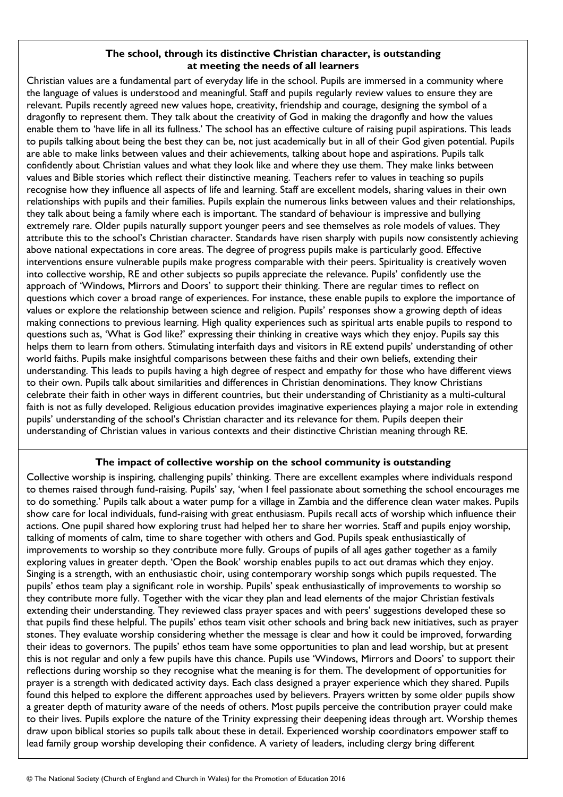### **The school, through its distinctive Christian character, is outstanding at meeting the needs of all learners**

Christian values are a fundamental part of everyday life in the school. Pupils are immersed in a community where the language of values is understood and meaningful. Staff and pupils regularly review values to ensure they are relevant. Pupils recently agreed new values hope, creativity, friendship and courage, designing the symbol of a dragonfly to represent them. They talk about the creativity of God in making the dragonfly and how the values enable them to 'have life in all its fullness.' The school has an effective culture of raising pupil aspirations. This leads to pupils talking about being the best they can be, not just academically but in all of their God given potential. Pupils are able to make links between values and their achievements, talking about hope and aspirations. Pupils talk confidently about Christian values and what they look like and where they use them. They make links between values and Bible stories which reflect their distinctive meaning. Teachers refer to values in teaching so pupils recognise how they influence all aspects of life and learning. Staff are excellent models, sharing values in their own relationships with pupils and their families. Pupils explain the numerous links between values and their relationships, they talk about being a family where each is important. The standard of behaviour is impressive and bullying extremely rare. Older pupils naturally support younger peers and see themselves as role models of values. They attribute this to the school's Christian character. Standards have risen sharply with pupils now consistently achieving above national expectations in core areas. The degree of progress pupils make is particularly good. Effective interventions ensure vulnerable pupils make progress comparable with their peers. Spirituality is creatively woven into collective worship, RE and other subjects so pupils appreciate the relevance. Pupils' confidently use the approach of 'Windows, Mirrors and Doors' to support their thinking. There are regular times to reflect on questions which cover a broad range of experiences. For instance, these enable pupils to explore the importance of values or explore the relationship between science and religion. Pupils' responses show a growing depth of ideas making connections to previous learning. High quality experiences such as spiritual arts enable pupils to respond to questions such as, 'What is God like?' expressing their thinking in creative ways which they enjoy. Pupils say this helps them to learn from others. Stimulating interfaith days and visitors in RE extend pupils' understanding of other world faiths. Pupils make insightful comparisons between these faiths and their own beliefs, extending their understanding. This leads to pupils having a high degree of respect and empathy for those who have different views to their own. Pupils talk about similarities and differences in Christian denominations. They know Christians celebrate their faith in other ways in different countries, but their understanding of Christianity as a multi-cultural faith is not as fully developed. Religious education provides imaginative experiences playing a major role in extending pupils' understanding of the school's Christian character and its relevance for them. Pupils deepen their understanding of Christian values in various contexts and their distinctive Christian meaning through RE.

## **The impact of collective worship on the school community is outstanding**

Collective worship is inspiring, challenging pupils' thinking. There are excellent examples where individuals respond to themes raised through fund-raising. Pupils' say, 'when I feel passionate about something the school encourages me to do something.' Pupils talk about a water pump for a village in Zambia and the difference clean water makes. Pupils show care for local individuals, fund-raising with great enthusiasm. Pupils recall acts of worship which influence their actions. One pupil shared how exploring trust had helped her to share her worries. Staff and pupils enjoy worship, talking of moments of calm, time to share together with others and God. Pupils speak enthusiastically of improvements to worship so they contribute more fully. Groups of pupils of all ages gather together as a family exploring values in greater depth. 'Open the Book' worship enables pupils to act out dramas which they enjoy. Singing is a strength, with an enthusiastic choir, using contemporary worship songs which pupils requested. The pupils' ethos team play a significant role in worship. Pupils' speak enthusiastically of improvements to worship so they contribute more fully. Together with the vicar they plan and lead elements of the major Christian festivals extending their understanding. They reviewed class prayer spaces and with peers' suggestions developed these so that pupils find these helpful. The pupils' ethos team visit other schools and bring back new initiatives, such as prayer stones. They evaluate worship considering whether the message is clear and how it could be improved, forwarding their ideas to governors. The pupils' ethos team have some opportunities to plan and lead worship, but at present this is not regular and only a few pupils have this chance. Pupils use 'Windows, Mirrors and Doors' to support their reflections during worship so they recognise what the meaning is for them. The development of opportunities for prayer is a strength with dedicated activity days. Each class designed a prayer experience which they shared. Pupils found this helped to explore the different approaches used by believers. Prayers written by some older pupils show a greater depth of maturity aware of the needs of others. Most pupils perceive the contribution prayer could make to their lives. Pupils explore the nature of the Trinity expressing their deepening ideas through art. Worship themes draw upon biblical stories so pupils talk about these in detail. Experienced worship coordinators empower staff to lead family group worship developing their confidence. A variety of leaders, including clergy bring different